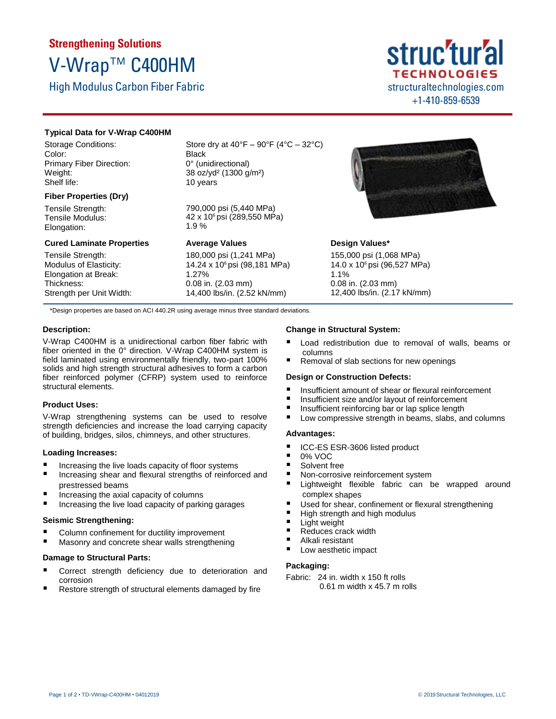# **Strengthening Solutions** V-Wrap™ C400HM

High Modulus Carbon Fiber Fabric

## struc'tur'al **TECHNOLOGIES** structuraltechnologies.com +1-410-859-6539

#### **Typical Data for V-Wrap C400HM**

Storage Conditions: Color: Primary Fiber Direction: Weight: Shelf life:

#### **Fiber Properties (Dry)**

Tensile Strength: Tensile Modulus: Elongation:

### **Cured Laminate Properties**

Tensile Strength: Modulus of Elasticity: Elongation at Break: Thickness: Strength per Unit Width: Store dry at  $40^{\circ}F - 90^{\circ}F (4^{\circ}C - 32^{\circ}C)$ Black 0° (unidirectional) 38 oz/yd² (1300 g/m²) 10 years

790,000 psi (5,440 MPa) 42 x 106 psi (289,550 MPa) 1.9 %

**Average Values** 180,000 psi (1,241 MPa) 14.24 x 106 psi (98,181 MPa) 1.27% 0.08 in. (2.03 mm) 14,400 lbs/in. (2.52 kN/mm)



### **Design Values\***

155,000 psi (1,068 MPa) 14.0 x 106 psi (96,527 MPa) 1.1% 0.08 in. (2.03 mm) 12,400 lbs/in. (2.17 kN/mm)

\*Design properties are based on ACI 440.2R using average minus three standard deviations.

#### **Description:**

V-Wrap C400HM is a unidirectional carbon fiber fabric with fiber oriented in the 0° direction. V-Wrap C400HM system is field laminated using environmentally friendly, two-part 100% solids and high strength structural adhesives to form a carbon fiber reinforced polymer (CFRP) system used to reinforce structural elements.

#### **Product Uses:**

V-Wrap strengthening systems can be used to resolve strength deficiencies and increase the load carrying capacity of building, bridges, silos, chimneys, and other structures.

#### **Loading Increases:**

- Increasing the live loads capacity of floor systems
- Increasing shear and flexural strengths of reinforced and prestressed beams
- Increasing the axial capacity of columns
- Increasing the live load capacity of parking garages

#### **Seismic Strengthening:**

- Column confinement for ductility improvement
- Masonry and concrete shear walls strengthening

#### **Damage to Structural Parts:**

- Correct strength deficiency due to deterioration and corrosion
- Restore strength of structural elements damaged by fire

#### **Change in Structural System:**

- Load redistribution due to removal of walls, beams or columns
- Removal of slab sections for new openings

#### **Design or Construction Defects:**

- Insufficient amount of shear or flexural reinforcement
- Insufficient size and/or layout of reinforcement<br>■ Insufficient reinforcing har or lan splice length
- Insufficient reinforcing bar or lap splice length<br>■ Low compressive strength in beams, slabs, an
- Low compressive strength in beams, slabs, and columns

#### **Advantages:**

- ICC-ES ESR-3606 listed product
- $\blacksquare$  0% VOC
- Solvent free
- Non-corrosive reinforcement system
- Lightweight flexible fabric can be wrapped around complex shapes
- Used for shear, confinement or flexural strengthening
- $\blacksquare$  High strength and high modulus
- **Light weight**
- Reduces crack width
- Alkali resistant
- Low aesthetic impact

#### **Packaging:**

Fabric: 24 in. width x 150 ft rolls 0.61 m width x 45.7 m rolls